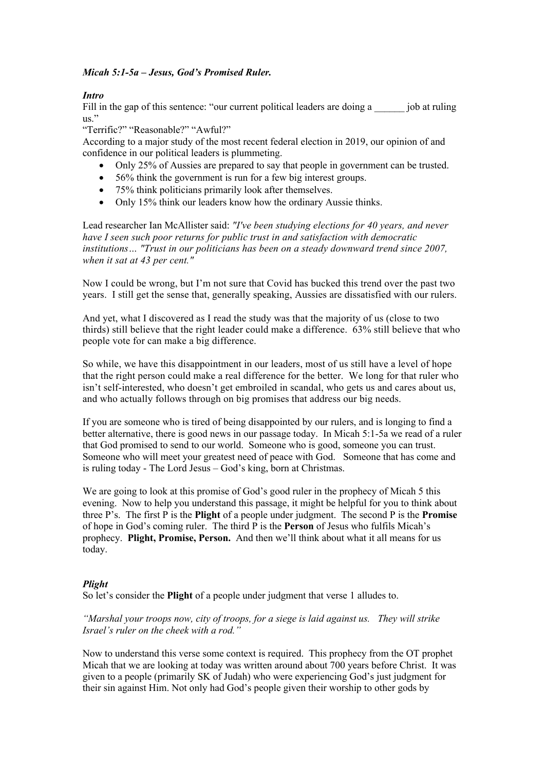### *Micah 5:1-5a – Jesus, God's Promised Ruler.*

# *Intro*

Fill in the gap of this sentence: "our current political leaders are doing a \_\_\_\_\_\_ job at ruling us."

## "Terrific?" "Reasonable?" "Awful?"

According to a major study of the most recent federal election in 2019, our opinion of and confidence in our political leaders is plummeting.

- Only 25% of Aussies are prepared to say that people in government can be trusted.
- 56% think the government is run for a few big interest groups.
- 75% think politicians primarily look after themselves.
- Only 15% think our leaders know how the ordinary Aussie thinks.

Lead researcher Ian McAllister said: *"I've been studying elections for 40 years, and never have I seen such poor returns for public trust in and satisfaction with democratic institutions… "Trust in our politicians has been on a steady downward trend since 2007, when it sat at 43 per cent."* 

Now I could be wrong, but I'm not sure that Covid has bucked this trend over the past two years. I still get the sense that, generally speaking, Aussies are dissatisfied with our rulers.

And yet, what I discovered as I read the study was that the majority of us (close to two thirds) still believe that the right leader could make a difference. 63% still believe that who people vote for can make a big difference.

So while, we have this disappointment in our leaders, most of us still have a level of hope that the right person could make a real difference for the better. We long for that ruler who isn't self-interested, who doesn't get embroiled in scandal, who gets us and cares about us, and who actually follows through on big promises that address our big needs.

If you are someone who is tired of being disappointed by our rulers, and is longing to find a better alternative, there is good news in our passage today. In Micah 5:1-5a we read of a ruler that God promised to send to our world. Someone who is good, someone you can trust. Someone who will meet your greatest need of peace with God. Someone that has come and is ruling today - The Lord Jesus – God's king, born at Christmas.

We are going to look at this promise of God's good ruler in the prophecy of Micah 5 this evening. Now to help you understand this passage, it might be helpful for you to think about three P's. The first P is the **Plight** of a people under judgment. The second P is the **Promise**  of hope in God's coming ruler. The third P is the **Person** of Jesus who fulfils Micah's prophecy. **Plight, Promise, Person.** And then we'll think about what it all means for us today.

### *Plight*

So let's consider the **Plight** of a people under judgment that verse 1 alludes to.

*"Marshal your troops now, city of troops, for a siege is laid against us. They will strike Israel's ruler on the cheek with a rod."*

Now to understand this verse some context is required. This prophecy from the OT prophet Micah that we are looking at today was written around about 700 years before Christ. It was given to a people (primarily SK of Judah) who were experiencing God's just judgment for their sin against Him. Not only had God's people given their worship to other gods by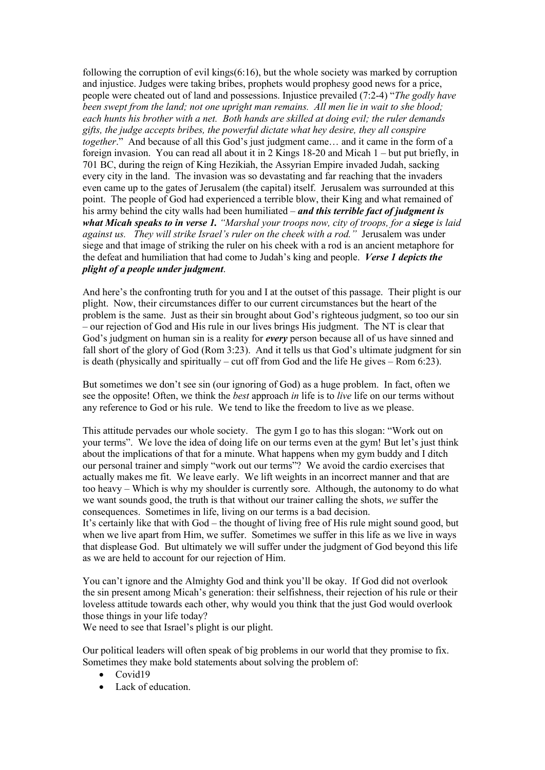following the corruption of evil kings(6:16), but the whole society was marked by corruption and injustice. Judges were taking bribes, prophets would prophesy good news for a price, people were cheated out of land and possessions. Injustice prevailed (7:2-4) "*The godly have been swept from the land; not one upright man remains. All men lie in wait to she blood; each hunts his brother with a net. Both hands are skilled at doing evil; the ruler demands gifts, the judge accepts bribes, the powerful dictate what hey desire, they all conspire together*." And because of all this God's just judgment came… and it came in the form of a foreign invasion. You can read all about it in 2 Kings 18-20 and Micah 1 – but put briefly, in 701 BC, during the reign of King Hezikiah, the Assyrian Empire invaded Judah, sacking every city in the land. The invasion was so devastating and far reaching that the invaders even came up to the gates of Jerusalem (the capital) itself. Jerusalem was surrounded at this point. The people of God had experienced a terrible blow, their King and what remained of his army behind the city walls had been humiliated – *and this terrible fact of judgment is what Micah speaks to in verse 1. "Marshal your troops now, city of troops, for a siege is laid against us. They will strike Israel's ruler on the cheek with a rod."* Jerusalem was under siege and that image of striking the ruler on his cheek with a rod is an ancient metaphore for the defeat and humiliation that had come to Judah's king and people. *Verse 1 depicts the plight of a people under judgment*.

And here's the confronting truth for you and I at the outset of this passage. Their plight is our plight. Now, their circumstances differ to our current circumstances but the heart of the problem is the same. Just as their sin brought about God's righteous judgment, so too our sin – our rejection of God and His rule in our lives brings His judgment. The NT is clear that God's judgment on human sin is a reality for *every* person because all of us have sinned and fall short of the glory of God (Rom 3:23). And it tells us that God's ultimate judgment for sin is death (physically and spiritually – cut off from God and the life He gives – Rom  $6:23$ ).

But sometimes we don't see sin (our ignoring of God) as a huge problem. In fact, often we see the opposite! Often, we think the *best* approach *in* life is to *live* life on our terms without any reference to God or his rule. We tend to like the freedom to live as we please.

This attitude pervades our whole society. The gym I go to has this slogan: "Work out on your terms". We love the idea of doing life on our terms even at the gym! But let's just think about the implications of that for a minute. What happens when my gym buddy and I ditch our personal trainer and simply "work out our terms"? We avoid the cardio exercises that actually makes me fit. We leave early. We lift weights in an incorrect manner and that are too heavy – Which is why my shoulder is currently sore. Although, the autonomy to do what we want sounds good, the truth is that without our trainer calling the shots, *we* suffer the consequences. Sometimes in life, living on our terms is a bad decision. It's certainly like that with God – the thought of living free of His rule might sound good, but when we live apart from Him, we suffer. Sometimes we suffer in this life as we live in ways that displease God. But ultimately we will suffer under the judgment of God beyond this life as we are held to account for our rejection of Him.

You can't ignore and the Almighty God and think you'll be okay. If God did not overlook the sin present among Micah's generation: their selfishness, their rejection of his rule or their loveless attitude towards each other, why would you think that the just God would overlook those things in your life today?

We need to see that Israel's plight is our plight.

Our political leaders will often speak of big problems in our world that they promise to fix. Sometimes they make bold statements about solving the problem of:

- Covid19
- Lack of education.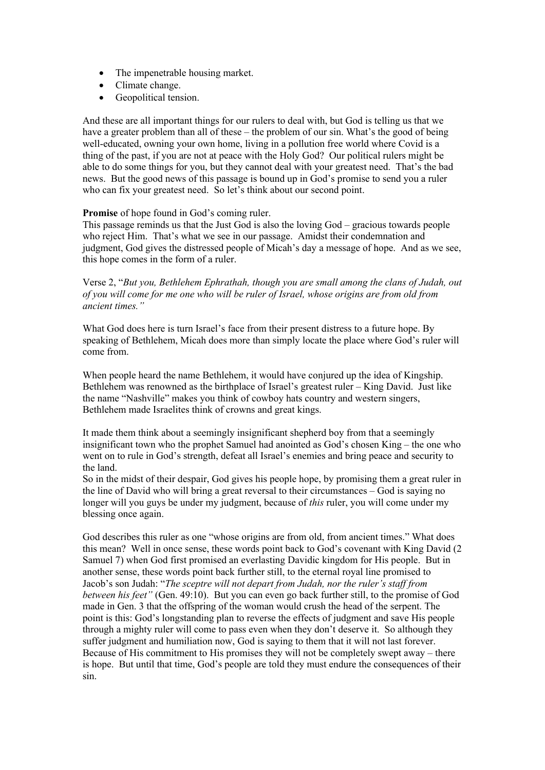- The impenetrable housing market.
- Climate change.
- Geopolitical tension.

And these are all important things for our rulers to deal with, but God is telling us that we have a greater problem than all of these – the problem of our sin. What's the good of being well-educated, owning your own home, living in a pollution free world where Covid is a thing of the past, if you are not at peace with the Holy God? Our political rulers might be able to do some things for you, but they cannot deal with your greatest need. That's the bad news. But the good news of this passage is bound up in God's promise to send you a ruler who can fix your greatest need. So let's think about our second point.

### **Promise** of hope found in God's coming ruler.

This passage reminds us that the Just God is also the loving God – gracious towards people who reject Him. That's what we see in our passage. Amidst their condemnation and judgment, God gives the distressed people of Micah's day a message of hope. And as we see, this hope comes in the form of a ruler.

Verse 2, "*But you, Bethlehem Ephrathah, though you are small among the clans of Judah, out of you will come for me one who will be ruler of Israel, whose origins are from old from ancient times."* 

What God does here is turn Israel's face from their present distress to a future hope. By speaking of Bethlehem, Micah does more than simply locate the place where God's ruler will come from.

When people heard the name Bethlehem, it would have conjured up the idea of Kingship. Bethlehem was renowned as the birthplace of Israel's greatest ruler – King David. Just like the name "Nashville" makes you think of cowboy hats country and western singers, Bethlehem made Israelites think of crowns and great kings.

It made them think about a seemingly insignificant shepherd boy from that a seemingly insignificant town who the prophet Samuel had anointed as God's chosen King – the one who went on to rule in God's strength, defeat all Israel's enemies and bring peace and security to the land.

So in the midst of their despair, God gives his people hope, by promising them a great ruler in the line of David who will bring a great reversal to their circumstances – God is saying no longer will you guys be under my judgment, because of *this* ruler, you will come under my blessing once again.

God describes this ruler as one "whose origins are from old, from ancient times." What does this mean? Well in once sense, these words point back to God's covenant with King David (2 Samuel 7) when God first promised an everlasting Davidic kingdom for His people. But in another sense, these words point back further still, to the eternal royal line promised to Jacob's son Judah: "*The sceptre will not depart from Judah, nor the ruler's staff from between his feet"* (Gen. 49:10). But you can even go back further still, to the promise of God made in Gen. 3 that the offspring of the woman would crush the head of the serpent. The point is this: God's longstanding plan to reverse the effects of judgment and save His people through a mighty ruler will come to pass even when they don't deserve it. So although they suffer judgment and humiliation now, God is saying to them that it will not last forever. Because of His commitment to His promises they will not be completely swept away – there is hope. But until that time, God's people are told they must endure the consequences of their sin.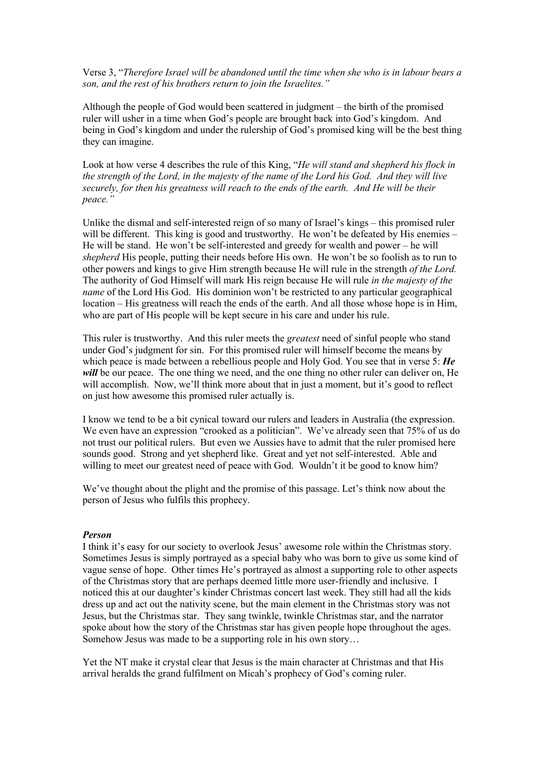Verse 3, "*Therefore Israel will be abandoned until the time when she who is in labour bears a son, and the rest of his brothers return to join the Israelites."*

Although the people of God would been scattered in judgment – the birth of the promised ruler will usher in a time when God's people are brought back into God's kingdom. And being in God's kingdom and under the rulership of God's promised king will be the best thing they can imagine.

Look at how verse 4 describes the rule of this King, "*He will stand and shepherd his flock in the strength of the Lord, in the majesty of the name of the Lord his God. And they will live securely, for then his greatness will reach to the ends of the earth. And He will be their peace."*

Unlike the dismal and self-interested reign of so many of Israel's kings – this promised ruler will be different. This king is good and trustworthy. He won't be defeated by His enemies – He will be stand. He won't be self-interested and greedy for wealth and power – he will *shepherd* His people, putting their needs before His own. He won't be so foolish as to run to other powers and kings to give Him strength because He will rule in the strength *of the Lord.*  The authority of God Himself will mark His reign because He will rule *in the majesty of the name* of the Lord His God. His dominion won't be restricted to any particular geographical location – His greatness will reach the ends of the earth. And all those whose hope is in Him, who are part of His people will be kept secure in his care and under his rule.

This ruler is trustworthy. And this ruler meets the *greatest* need of sinful people who stand under God's judgment for sin. For this promised ruler will himself become the means by which peace is made between a rebellious people and Holy God. You see that in verse 5: *He will* be our peace. The one thing we need, and the one thing no other ruler can deliver on, He will accomplish. Now, we'll think more about that in just a moment, but it's good to reflect on just how awesome this promised ruler actually is.

I know we tend to be a bit cynical toward our rulers and leaders in Australia (the expression. We even have an expression "crooked as a politician". We've already seen that 75% of us do not trust our political rulers. But even we Aussies have to admit that the ruler promised here sounds good. Strong and yet shepherd like. Great and yet not self-interested. Able and willing to meet our greatest need of peace with God. Wouldn't it be good to know him?

We've thought about the plight and the promise of this passage. Let's think now about the person of Jesus who fulfils this prophecy.

#### *Person*

I think it's easy for our society to overlook Jesus' awesome role within the Christmas story. Sometimes Jesus is simply portrayed as a special baby who was born to give us some kind of vague sense of hope. Other times He's portrayed as almost a supporting role to other aspects of the Christmas story that are perhaps deemed little more user-friendly and inclusive. I noticed this at our daughter's kinder Christmas concert last week. They still had all the kids dress up and act out the nativity scene, but the main element in the Christmas story was not Jesus, but the Christmas star. They sang twinkle, twinkle Christmas star, and the narrator spoke about how the story of the Christmas star has given people hope throughout the ages. Somehow Jesus was made to be a supporting role in his own story…

Yet the NT make it crystal clear that Jesus is the main character at Christmas and that His arrival heralds the grand fulfilment on Micah's prophecy of God's coming ruler.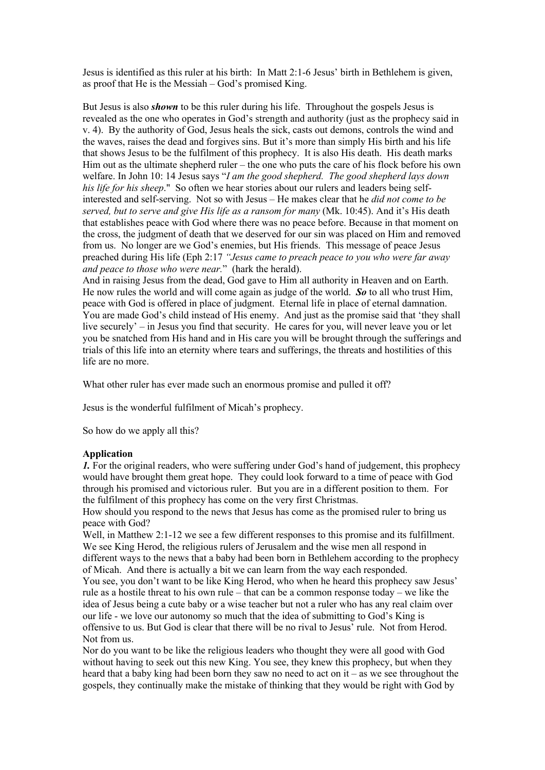Jesus is identified as this ruler at his birth: In Matt 2:1-6 Jesus' birth in Bethlehem is given, as proof that He is the Messiah – God's promised King.

But Jesus is also *shown* to be this ruler during his life. Throughout the gospels Jesus is revealed as the one who operates in God's strength and authority (just as the prophecy said in v. 4). By the authority of God, Jesus heals the sick, casts out demons, controls the wind and the waves, raises the dead and forgives sins. But it's more than simply His birth and his life that shows Jesus to be the fulfilment of this prophecy. It is also His death. His death marks Him out as the ultimate shepherd ruler – the one who puts the care of his flock before his own welfare. In John 10: 14 Jesus says "*I am the good shepherd. The good shepherd lays down his life for his sheep*." So often we hear stories about our rulers and leaders being selfinterested and self-serving. Not so with Jesus – He makes clear that he *did not come to be served, but to serve and give His life as a ransom for many* (Mk. 10:45). And it's His death that establishes peace with God where there was no peace before. Because in that moment on the cross, the judgment of death that we deserved for our sin was placed on Him and removed from us. No longer are we God's enemies, but His friends. This message of peace Jesus preached during His life (Eph 2:17 *"Jesus came to preach peace to you who were far away and peace to those who were near.*" (hark the herald).

And in raising Jesus from the dead, God gave to Him all authority in Heaven and on Earth. He now rules the world and will come again as judge of the world. *So* to all who trust Him, peace with God is offered in place of judgment. Eternal life in place of eternal damnation. You are made God's child instead of His enemy. And just as the promise said that 'they shall live securely' – in Jesus you find that security. He cares for you, will never leave you or let you be snatched from His hand and in His care you will be brought through the sufferings and trials of this life into an eternity where tears and sufferings, the threats and hostilities of this life are no more.

What other ruler has ever made such an enormous promise and pulled it off?

Jesus is the wonderful fulfilment of Micah's prophecy.

So how do we apply all this?

### **Application**

*1*. For the original readers, who were suffering under God's hand of judgement, this prophecy would have brought them great hope. They could look forward to a time of peace with God through his promised and victorious ruler. But you are in a different position to them. For the fulfilment of this prophecy has come on the very first Christmas.

How should you respond to the news that Jesus has come as the promised ruler to bring us peace with God?

Well, in Matthew 2:1-12 we see a few different responses to this promise and its fulfillment. We see King Herod, the religious rulers of Jerusalem and the wise men all respond in different ways to the news that a baby had been born in Bethlehem according to the prophecy of Micah. And there is actually a bit we can learn from the way each responded.

You see, you don't want to be like King Herod, who when he heard this prophecy saw Jesus' rule as a hostile threat to his own rule – that can be a common response today – we like the idea of Jesus being a cute baby or a wise teacher but not a ruler who has any real claim over our life - we love our autonomy so much that the idea of submitting to God's King is offensive to us. But God is clear that there will be no rival to Jesus' rule. Not from Herod. Not from us.

Nor do you want to be like the religious leaders who thought they were all good with God without having to seek out this new King. You see, they knew this prophecy, but when they heard that a baby king had been born they saw no need to act on it – as we see throughout the gospels, they continually make the mistake of thinking that they would be right with God by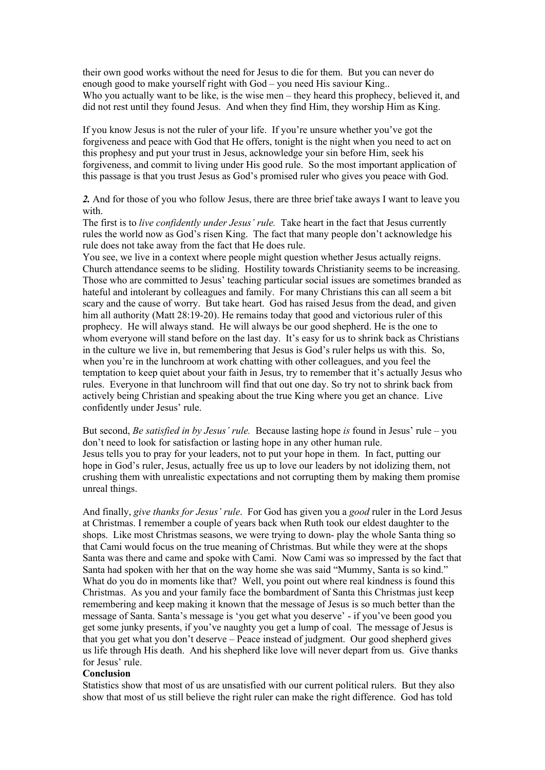their own good works without the need for Jesus to die for them. But you can never do enough good to make yourself right with God – you need His saviour King.. Who you actually want to be like, is the wise men – they heard this prophecy, believed it, and did not rest until they found Jesus. And when they find Him, they worship Him as King.

If you know Jesus is not the ruler of your life. If you're unsure whether you've got the forgiveness and peace with God that He offers, tonight is the night when you need to act on this prophesy and put your trust in Jesus, acknowledge your sin before Him, seek his forgiveness, and commit to living under His good rule. So the most important application of this passage is that you trust Jesus as God's promised ruler who gives you peace with God.

*2.* And for those of you who follow Jesus, there are three brief take aways I want to leave you with.

The first is to *live confidently under Jesus' rule.* Take heart in the fact that Jesus currently rules the world now as God's risen King. The fact that many people don't acknowledge his rule does not take away from the fact that He does rule.

You see, we live in a context where people might question whether Jesus actually reigns. Church attendance seems to be sliding. Hostility towards Christianity seems to be increasing. Those who are committed to Jesus' teaching particular social issues are sometimes branded as hateful and intolerant by colleagues and family. For many Christians this can all seem a bit scary and the cause of worry. But take heart. God has raised Jesus from the dead, and given him all authority (Matt 28:19-20). He remains today that good and victorious ruler of this prophecy. He will always stand. He will always be our good shepherd. He is the one to whom everyone will stand before on the last day. It's easy for us to shrink back as Christians in the culture we live in, but remembering that Jesus is God's ruler helps us with this. So, when you're in the lunchroom at work chatting with other colleagues, and you feel the temptation to keep quiet about your faith in Jesus, try to remember that it's actually Jesus who rules. Everyone in that lunchroom will find that out one day. So try not to shrink back from actively being Christian and speaking about the true King where you get an chance. Live confidently under Jesus' rule.

But second, *Be satisfied in by Jesus' rule.* Because lasting hope *is* found in Jesus' rule – you don't need to look for satisfaction or lasting hope in any other human rule. Jesus tells you to pray for your leaders, not to put your hope in them. In fact, putting our hope in God's ruler, Jesus, actually free us up to love our leaders by not idolizing them, not crushing them with unrealistic expectations and not corrupting them by making them promise unreal things.

And finally, *give thanks for Jesus' rule*. For God has given you a *good* ruler in the Lord Jesus at Christmas. I remember a couple of years back when Ruth took our eldest daughter to the shops. Like most Christmas seasons, we were trying to down- play the whole Santa thing so that Cami would focus on the true meaning of Christmas. But while they were at the shops Santa was there and came and spoke with Cami. Now Cami was so impressed by the fact that Santa had spoken with her that on the way home she was said "Mummy, Santa is so kind." What do you do in moments like that? Well, you point out where real kindness is found this Christmas. As you and your family face the bombardment of Santa this Christmas just keep remembering and keep making it known that the message of Jesus is so much better than the message of Santa. Santa's message is 'you get what you deserve' - if you've been good you get some junky presents, if you've naughty you get a lump of coal. The message of Jesus is that you get what you don't deserve – Peace instead of judgment. Our good shepherd gives us life through His death. And his shepherd like love will never depart from us. Give thanks for Jesus' rule.

#### **Conclusion**

Statistics show that most of us are unsatisfied with our current political rulers. But they also show that most of us still believe the right ruler can make the right difference. God has told